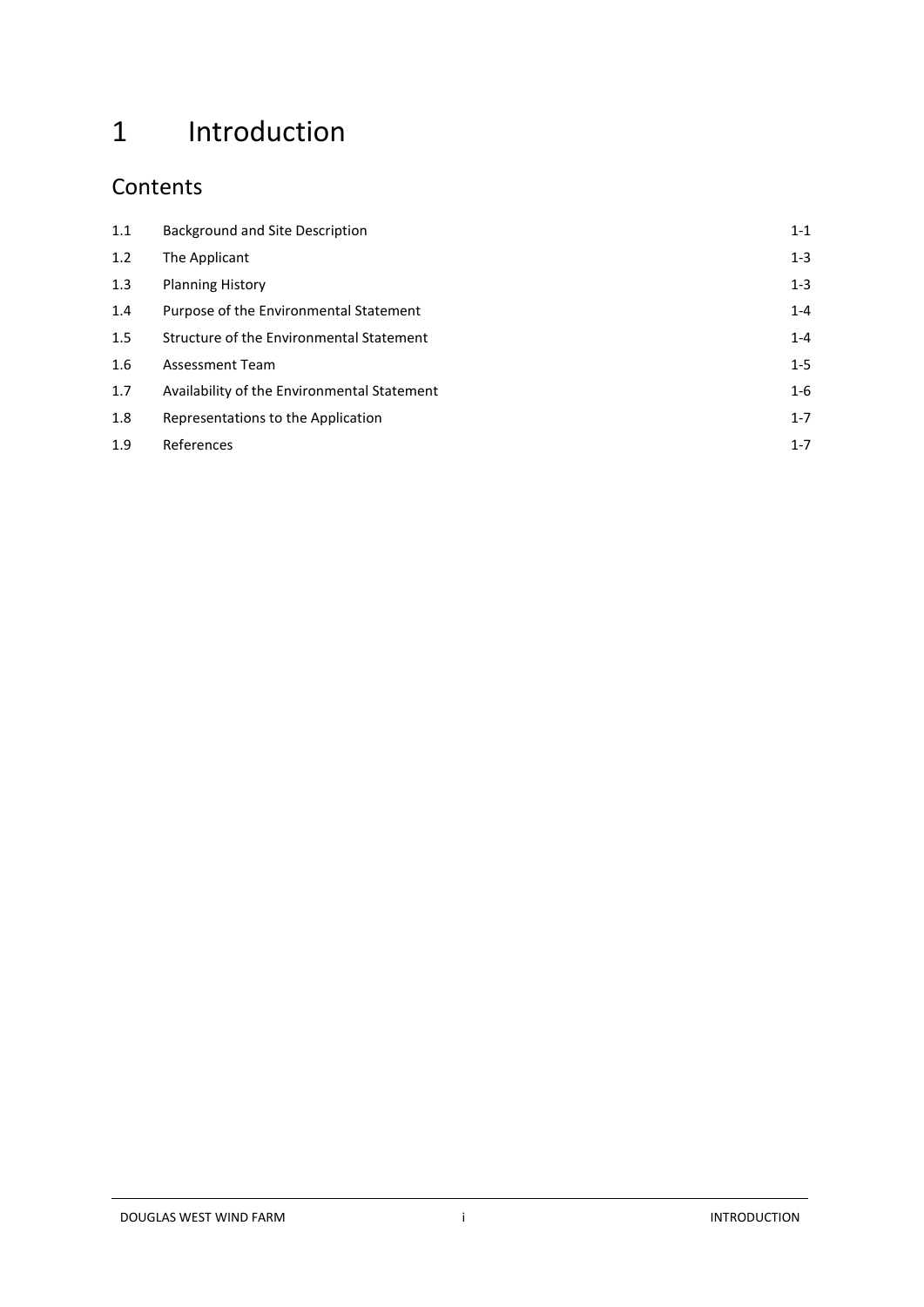# 1 Introduction

## **Contents**

| 1.1 | Background and Site Description             | $1 - 1$ |
|-----|---------------------------------------------|---------|
| 1.2 | The Applicant                               | $1 - 3$ |
| 1.3 | <b>Planning History</b>                     | $1 - 3$ |
| 1.4 | Purpose of the Environmental Statement      | $1 - 4$ |
| 1.5 | Structure of the Environmental Statement    | $1 - 4$ |
| 1.6 | <b>Assessment Team</b>                      | $1 - 5$ |
| 1.7 | Availability of the Environmental Statement | $1 - 6$ |
| 1.8 | Representations to the Application          | $1 - 7$ |
| 1.9 | References                                  | $1 - 7$ |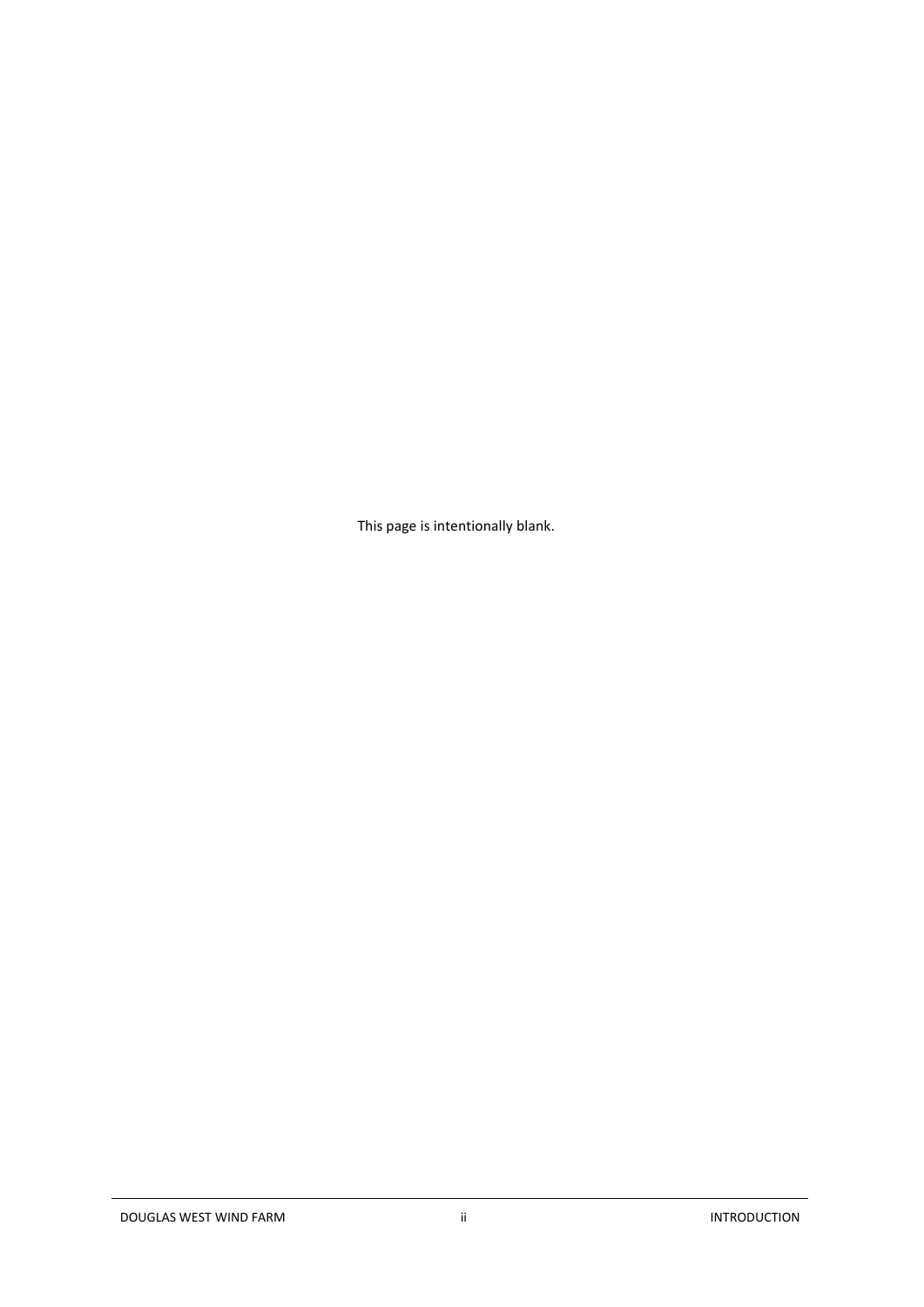This page is intentionally blank.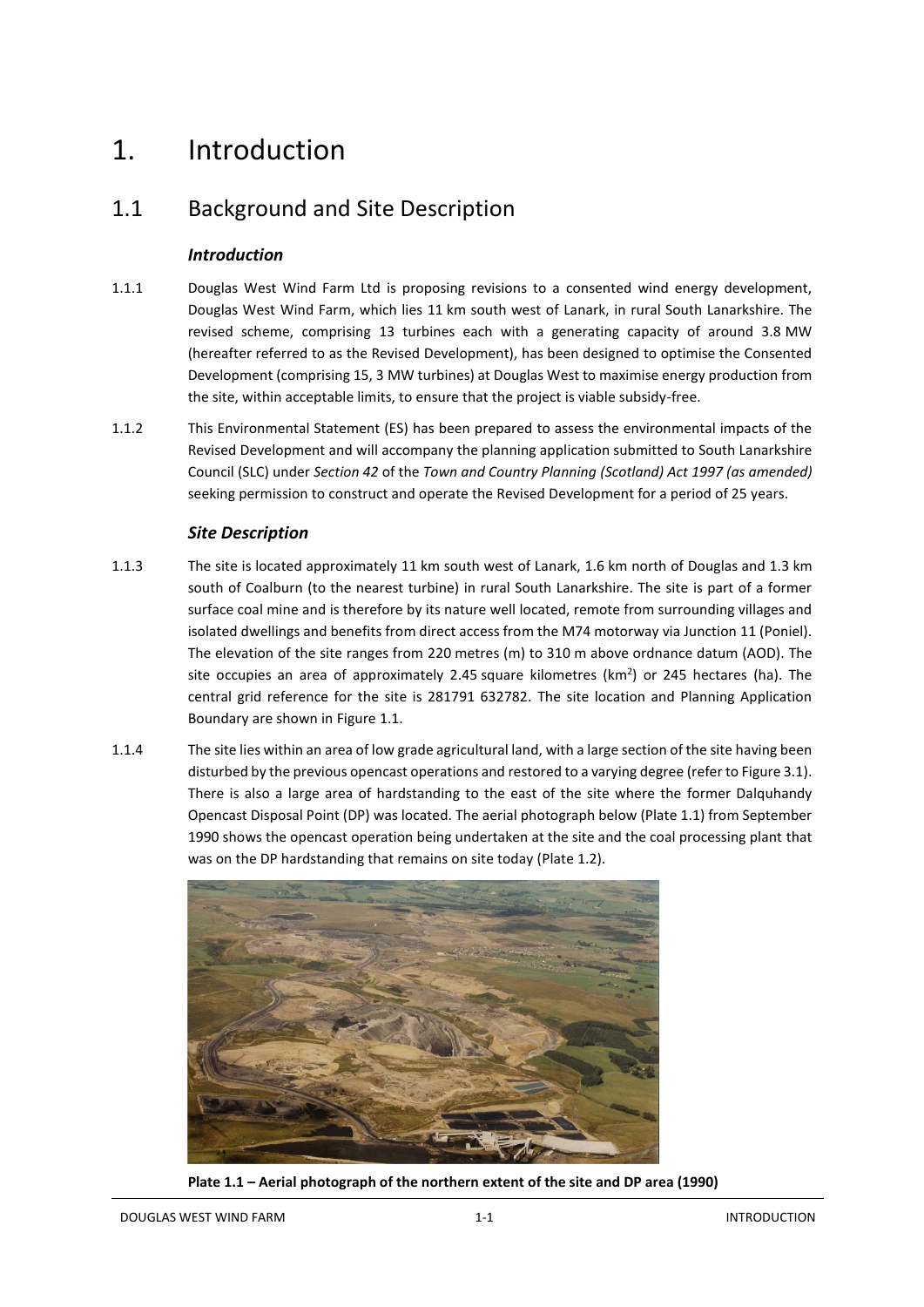## 1. Introduction

### <span id="page-2-0"></span>1.1 Background and Site Description

#### *Introduction*

- 1.1.1 Douglas West Wind Farm Ltd is proposing revisions to a consented wind energy development, Douglas West Wind Farm, which lies 11 km south west of Lanark, in rural South Lanarkshire. The revised scheme, comprising 13 turbines each with a generating capacity of around 3.8 MW (hereafter referred to as the Revised Development), has been designed to optimise the Consented Development (comprising 15, 3 MW turbines) at Douglas West to maximise energy production from the site, within acceptable limits, to ensure that the project is viable subsidy-free.
- 1.1.2 This Environmental Statement (ES) has been prepared to assess the environmental impacts of the Revised Development and will accompany the planning application submitted to South Lanarkshire Council (SLC) under *Section 42* of the *Town and Country Planning (Scotland) Act 1997 (as amended)* seeking permission to construct and operate the Revised Development for a period of 25 years.

#### *Site Description*

- 1.1.3 The site is located approximately 11 km south west of Lanark, 1.6 km north of Douglas and 1.3 km south of Coalburn (to the nearest turbine) in rural South Lanarkshire. The site is part of a former surface coal mine and is therefore by its nature well located, remote from surrounding villages and isolated dwellings and benefits from direct access from the M74 motorway via Junction 11 (Poniel). The elevation of the site ranges from 220 metres (m) to 310 m above ordnance datum (AOD). The site occupies an area of approximately 2.45 square kilometres (km<sup>2</sup>) or 245 hectares (ha). The central grid reference for the site is 281791 632782. The site location and Planning Application Boundary are shown in Figure 1.1.
- 1.1.4 The site lies within an area of low grade agricultural land, with a large section of the site having been disturbed by the previous opencast operations and restored to a varying degree (refer to Figure 3.1). There is also a large area of hardstanding to the east of the site where the former Dalquhandy Opencast Disposal Point (DP) was located. The aerial photograph below (Plate 1.1) from September 1990 shows the opencast operation being undertaken at the site and the coal processing plant that was on the DP hardstanding that remains on site today (Plate 1.2).



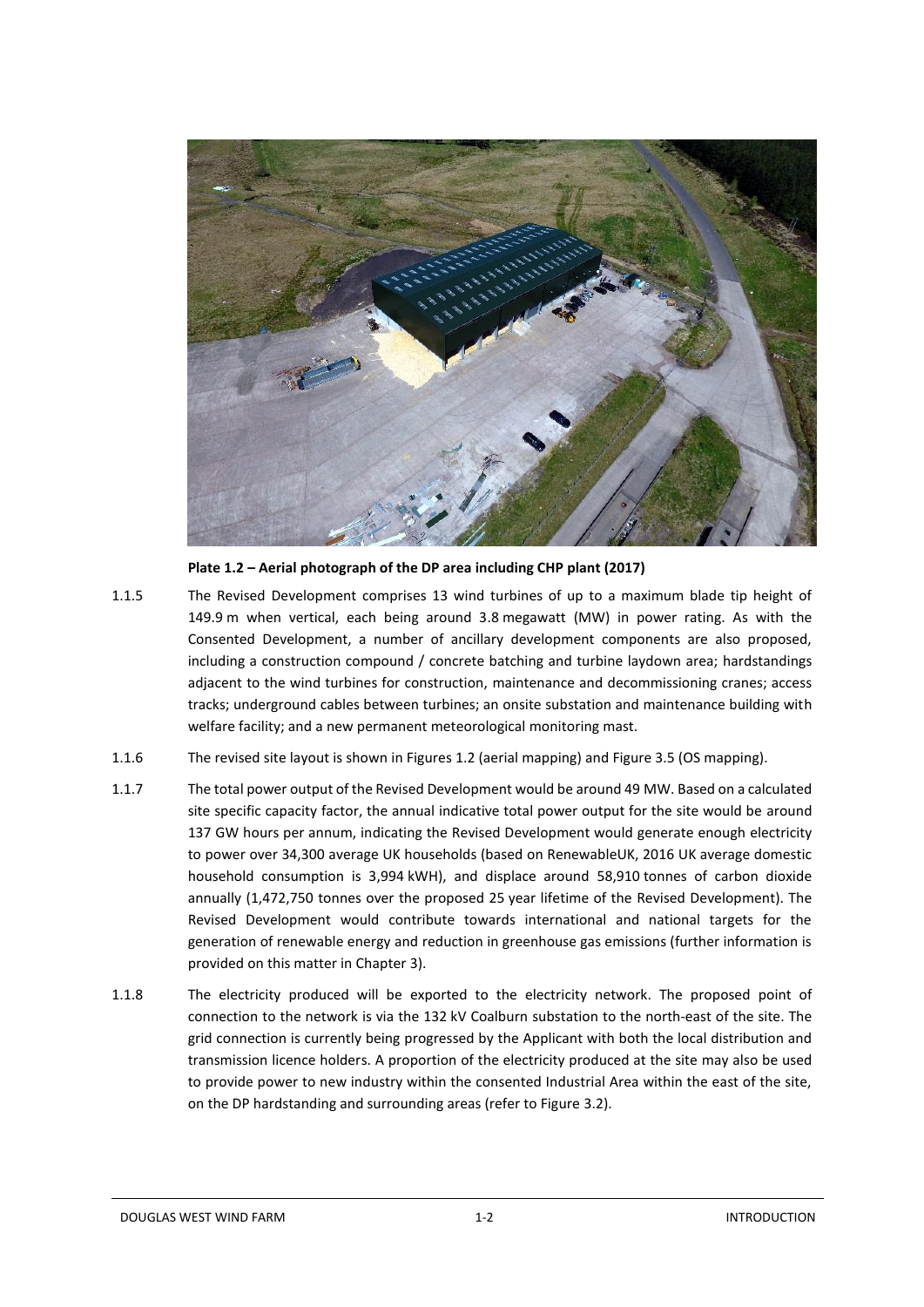

**Plate 1.2 – Aerial photograph of the DP area including CHP plant (2017)**

- 1.1.5 The Revised Development comprises 13 wind turbines of up to a maximum blade tip height of 149.9 m when vertical, each being around 3.8 megawatt (MW) in power rating. As with the Consented Development, a number of ancillary development components are also proposed, including a construction compound / concrete batching and turbine laydown area; hardstandings adjacent to the wind turbines for construction, maintenance and decommissioning cranes; access tracks; underground cables between turbines; an onsite substation and maintenance building with welfare facility; and a new permanent meteorological monitoring mast.
- 1.1.6 The revised site layout is shown in Figures 1.2 (aerial mapping) and Figure 3.5 (OS mapping).
- 1.1.7 The total power output of the Revised Development would be around 49 MW. Based on a calculated site specific capacity factor, the annual indicative total power output for the site would be around 137 GW hours per annum, indicating the Revised Development would generate enough electricity to power over 34,300 average UK households (based on RenewableUK, 2016 UK average domestic household consumption is 3,994 kWH), and displace around 58,910 tonnes of carbon dioxide annually (1,472,750 tonnes over the proposed 25 year lifetime of the Revised Development). The Revised Development would contribute towards international and national targets for the generation of renewable energy and reduction in greenhouse gas emissions (further information is provided on this matter in Chapter 3).
- 1.1.8 The electricity produced will be exported to the electricity network. The proposed point of connection to the network is via the 132 kV Coalburn substation to the north-east of the site. The grid connection is currently being progressed by the Applicant with both the local distribution and transmission licence holders. A proportion of the electricity produced at the site may also be used to provide power to new industry within the consented Industrial Area within the east of the site, on the DP hardstanding and surrounding areas (refer to Figure 3.2).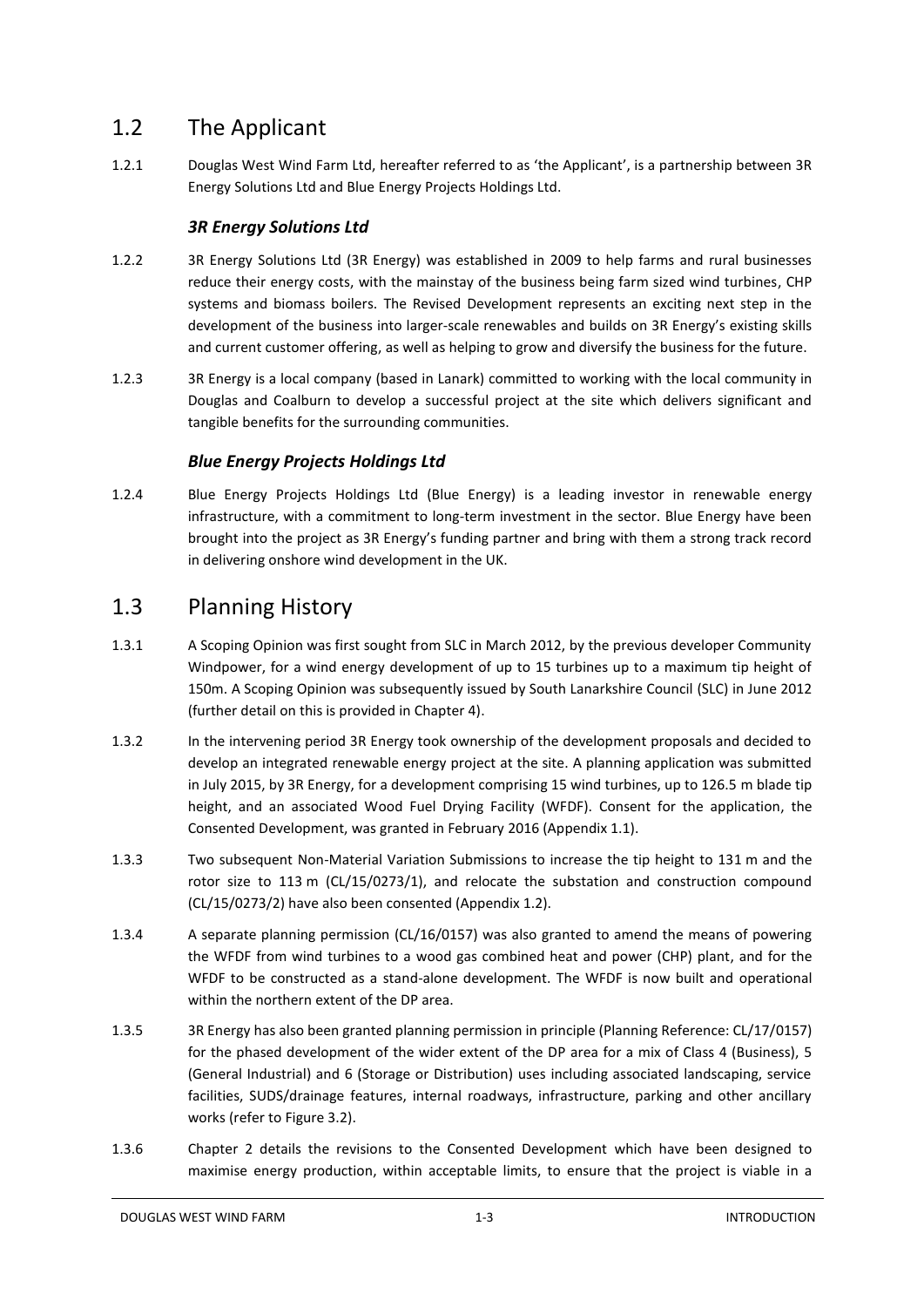### <span id="page-4-0"></span>1.2 The Applicant

1.2.1 Douglas West Wind Farm Ltd, hereafter referred to as 'the Applicant', is a partnership between 3R Energy Solutions Ltd and Blue Energy Projects Holdings Ltd.

#### *3R Energy Solutions Ltd*

- 1.2.2 3R Energy Solutions Ltd (3R Energy) was established in 2009 to help farms and rural businesses reduce their energy costs, with the mainstay of the business being farm sized wind turbines, CHP systems and biomass boilers. The Revised Development represents an exciting next step in the development of the business into larger-scale renewables and builds on 3R Energy's existing skills and current customer offering, as well as helping to grow and diversify the business for the future.
- 1.2.3 3R Energy is a local company (based in Lanark) committed to working with the local community in Douglas and Coalburn to develop a successful project at the site which delivers significant and tangible benefits for the surrounding communities.

#### *Blue Energy Projects Holdings Ltd*

1.2.4 Blue Energy Projects Holdings Ltd (Blue Energy) is a leading investor in renewable energy infrastructure, with a commitment to long-term investment in the sector. Blue Energy have been brought into the project as 3R Energy's funding partner and bring with them a strong track record in delivering onshore wind development in the UK.

### <span id="page-4-1"></span>1.3 Planning History

- 1.3.1 A Scoping Opinion was first sought from SLC in March 2012, by the previous developer Community Windpower, for a wind energy development of up to 15 turbines up to a maximum tip height of 150m. A Scoping Opinion was subsequently issued by South Lanarkshire Council (SLC) in June 2012 (further detail on this is provided in Chapter 4).
- 1.3.2 In the intervening period 3R Energy took ownership of the development proposals and decided to develop an integrated renewable energy project at the site. A planning application was submitted in July 2015, by 3R Energy, for a development comprising 15 wind turbines, up to 126.5 m blade tip height, and an associated Wood Fuel Drying Facility (WFDF). Consent for the application, the Consented Development, was granted in February 2016 (Appendix 1.1).
- 1.3.3 Two subsequent Non-Material Variation Submissions to increase the tip height to 131 m and the rotor size to 113 m (CL/15/0273/1), and relocate the substation and construction compound (CL/15/0273/2) have also been consented (Appendix 1.2).
- 1.3.4 A separate planning permission (CL/16/0157) was also granted to amend the means of powering the WFDF from wind turbines to a wood gas combined heat and power (CHP) plant, and for the WFDF to be constructed as a stand-alone development. The WFDF is now built and operational within the northern extent of the DP area.
- 1.3.5 3R Energy has also been granted planning permission in principle (Planning Reference: CL/17/0157) for the phased development of the wider extent of the DP area for a mix of Class 4 (Business), 5 (General Industrial) and 6 (Storage or Distribution) uses including associated landscaping, service facilities, SUDS/drainage features, internal roadways, infrastructure, parking and other ancillary works (refer to Figure 3.2).
- 1.3.6 Chapter 2 details the revisions to the Consented Development which have been designed to maximise energy production, within acceptable limits, to ensure that the project is viable in a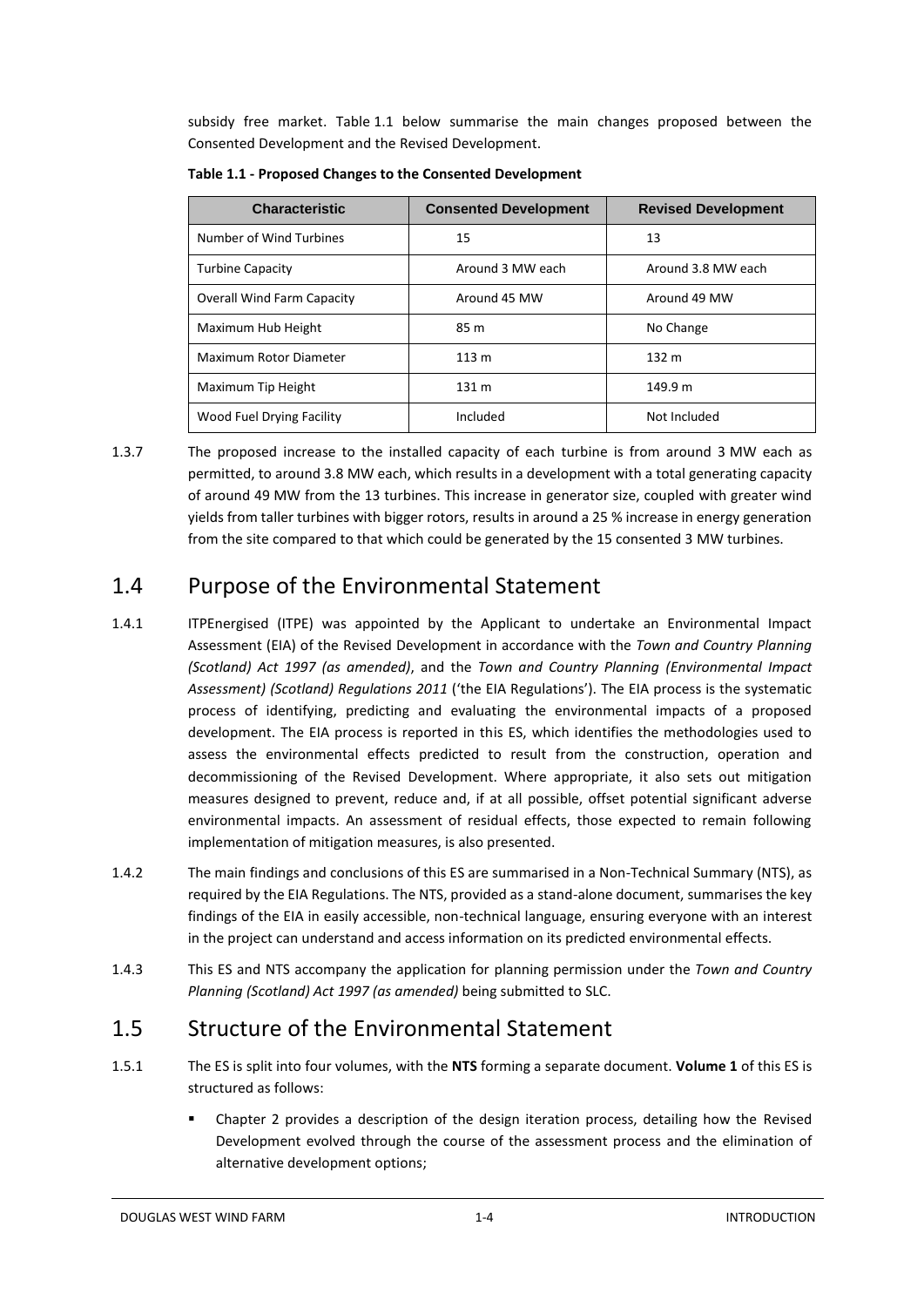subsidy free market. Table 1.1 below summarise the main changes proposed between the Consented Development and the Revised Development.

| <b>Characteristic</b>      | <b>Consented Development</b> | <b>Revised Development</b> |
|----------------------------|------------------------------|----------------------------|
| Number of Wind Turbines    | 15                           | 13                         |
| <b>Turbine Capacity</b>    | Around 3 MW each             | Around 3.8 MW each         |
| Overall Wind Farm Capacity | Around 45 MW                 | Around 49 MW               |
| Maximum Hub Height         | 85 m                         | No Change                  |
| Maximum Rotor Diameter     | 113 <sub>m</sub>             | 132 m                      |
| Maximum Tip Height         | $131 \text{ m}$              | 149.9 m                    |
| Wood Fuel Drying Facility  | Included                     | Not Included               |

**Table 1.1 - Proposed Changes to the Consented Development**

1.3.7 The proposed increase to the installed capacity of each turbine is from around 3 MW each as permitted, to around 3.8 MW each, which results in a development with a total generating capacity of around 49 MW from the 13 turbines. This increase in generator size, coupled with greater wind yields from taller turbines with bigger rotors, results in around a 25 % increase in energy generation from the site compared to that which could be generated by the 15 consented 3 MW turbines.

### <span id="page-5-0"></span>1.4 Purpose of the Environmental Statement

- 1.4.1 ITPEnergised (ITPE) was appointed by the Applicant to undertake an Environmental Impact Assessment (EIA) of the Revised Development in accordance with the *Town and Country Planning (Scotland) Act 1997 (as amended)*, and the *Town and Country Planning (Environmental Impact Assessment) (Scotland) Regulations 2011* ('the EIA Regulations'). The EIA process is the systematic process of identifying, predicting and evaluating the environmental impacts of a proposed development. The EIA process is reported in this ES, which identifies the methodologies used to assess the environmental effects predicted to result from the construction, operation and decommissioning of the Revised Development. Where appropriate, it also sets out mitigation measures designed to prevent, reduce and, if at all possible, offset potential significant adverse environmental impacts. An assessment of residual effects, those expected to remain following implementation of mitigation measures, is also presented.
- 1.4.2 The main findings and conclusions of this ES are summarised in a Non-Technical Summary (NTS), as required by the EIA Regulations. The NTS, provided as a stand-alone document, summarises the key findings of the EIA in easily accessible, non-technical language, ensuring everyone with an interest in the project can understand and access information on its predicted environmental effects.
- 1.4.3 This ES and NTS accompany the application for planning permission under the *Town and Country Planning (Scotland) Act 1997 (as amended)* being submitted to SLC.

### <span id="page-5-1"></span>1.5 Structure of the Environmental Statement

- 1.5.1 The ES is split into four volumes, with the **NTS** forming a separate document. **Volume 1** of this ES is structured as follows:
	- Chapter 2 provides a description of the design iteration process, detailing how the Revised Development evolved through the course of the assessment process and the elimination of alternative development options;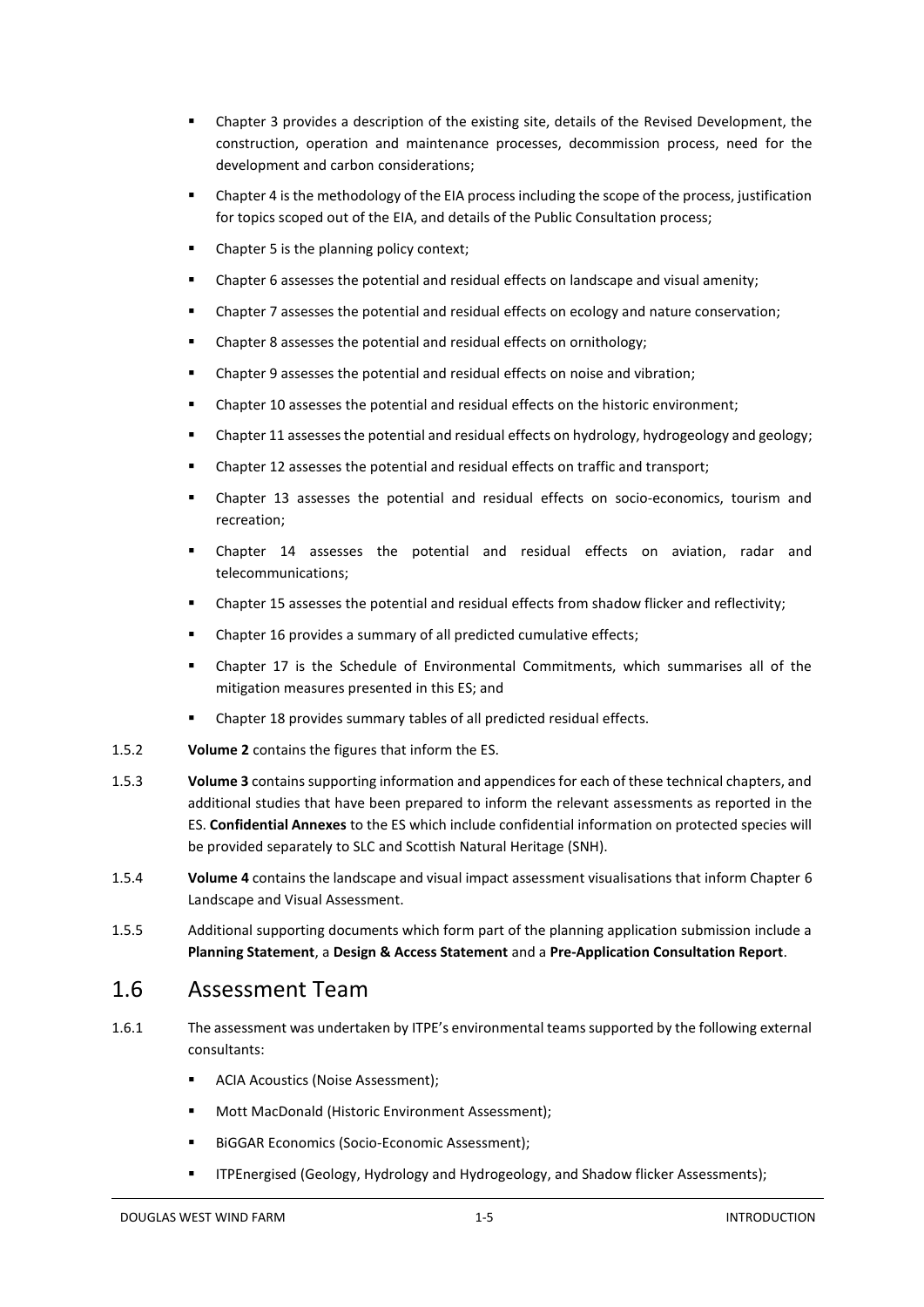- Chapter 3 provides a description of the existing site, details of the Revised Development, the construction, operation and maintenance processes, decommission process, need for the development and carbon considerations;
- Chapter 4 is the methodology of the EIA process including the scope of the process, justification for topics scoped out of the EIA, and details of the Public Consultation process;
- Chapter 5 is the planning policy context;
- Chapter 6 assesses the potential and residual effects on landscape and visual amenity;
- Chapter 7 assesses the potential and residual effects on ecology and nature conservation;
- Chapter 8 assesses the potential and residual effects on ornithology;
- Chapter 9 assesses the potential and residual effects on noise and vibration;
- Chapter 10 assesses the potential and residual effects on the historic environment;
- Chapter 11 assessesthe potential and residual effects on hydrology, hydrogeology and geology;
- Chapter 12 assesses the potential and residual effects on traffic and transport;
- Chapter 13 assesses the potential and residual effects on socio-economics, tourism and recreation;
- Chapter 14 assesses the potential and residual effects on aviation, radar and telecommunications;
- Chapter 15 assesses the potential and residual effects from shadow flicker and reflectivity;
- Chapter 16 provides a summary of all predicted cumulative effects;
- Chapter 17 is the Schedule of Environmental Commitments, which summarises all of the mitigation measures presented in this ES; and
- Chapter 18 provides summary tables of all predicted residual effects.
- 1.5.2 **Volume 2** contains the figures that inform the ES.
- 1.5.3 **Volume 3** contains supporting information and appendices for each of these technical chapters, and additional studies that have been prepared to inform the relevant assessments as reported in the ES. **Confidential Annexes** to the ES which include confidential information on protected species will be provided separately to SLC and Scottish Natural Heritage (SNH).
- 1.5.4 **Volume 4** contains the landscape and visual impact assessment visualisations that inform Chapter 6 Landscape and Visual Assessment.
- 1.5.5 Additional supporting documents which form part of the planning application submission include a **Planning Statement**, a **Design & Access Statement** and a **Pre-Application Consultation Report**.

#### <span id="page-6-0"></span>1.6 Assessment Team

- 1.6.1 The assessment was undertaken by ITPE's environmental teams supported by the following external consultants:
	- ACIA Acoustics (Noise Assessment);
	- **Mott MacDonald (Historic Environment Assessment);**
	- **BIGGAR Economics (Socio-Economic Assessment);**
	- ITPEnergised (Geology, Hydrology and Hydrogeology, and Shadow flicker Assessments);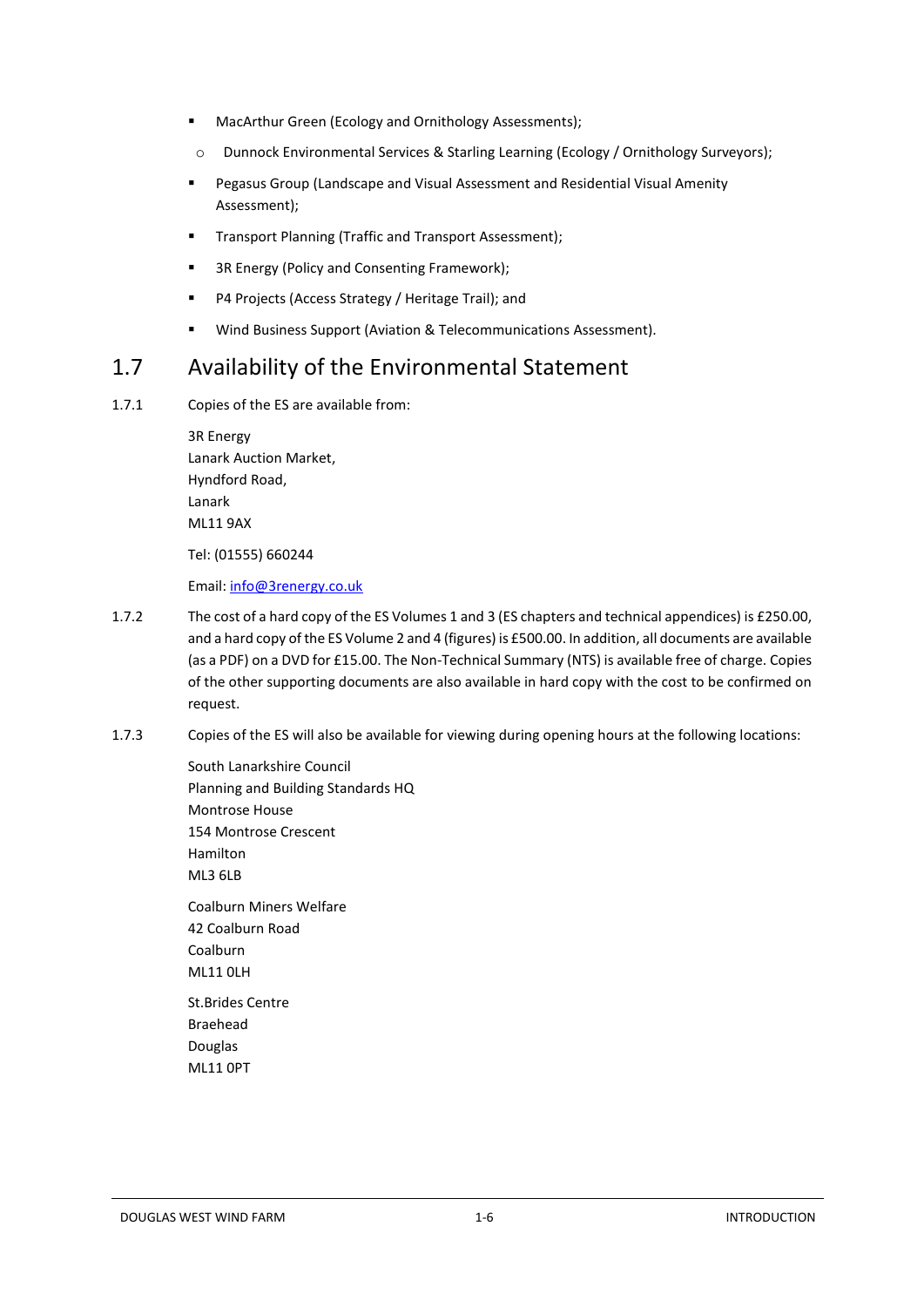- MacArthur Green (Ecology and Ornithology Assessments);
- o Dunnock Environmental Services & Starling Learning (Ecology / Ornithology Surveyors);
- Pegasus Group (Landscape and Visual Assessment and Residential Visual Amenity Assessment);
- **Transport Planning (Traffic and Transport Assessment);**
- **3R Energy (Policy and Consenting Framework);**
- P4 Projects (Access Strategy / Heritage Trail); and
- Wind Business Support (Aviation & Telecommunications Assessment).

### <span id="page-7-0"></span>1.7 Availability of the Environmental Statement

1.7.1 Copies of the ES are available from:

3R Energy Lanark Auction Market, Hyndford Road, Lanark ML11 9AX

Tel: (01555) 660244

Email: [info@3renergy.co.uk](mailto:info@3renergy.co.uk)

- 1.7.2 The cost of a hard copy of the ES Volumes 1 and 3 (ES chapters and technical appendices) is £250.00, and a hard copy of the ES Volume 2 and 4 (figures) is £500.00. In addition, all documents are available (as a PDF) on a DVD for £15.00. The Non-Technical Summary (NTS) is available free of charge. Copies of the other supporting documents are also available in hard copy with the cost to be confirmed on request.
- 1.7.3 Copies of the ES will also be available for viewing during opening hours at the following locations:

South Lanarkshire Council Planning and Building Standards HQ Montrose House 154 Montrose Crescent Hamilton ML3 6LB Coalburn Miners Welfare 42 Coalburn Road Coalburn ML11 0LH St.Brides Centre Braehead Douglas ML11 0PT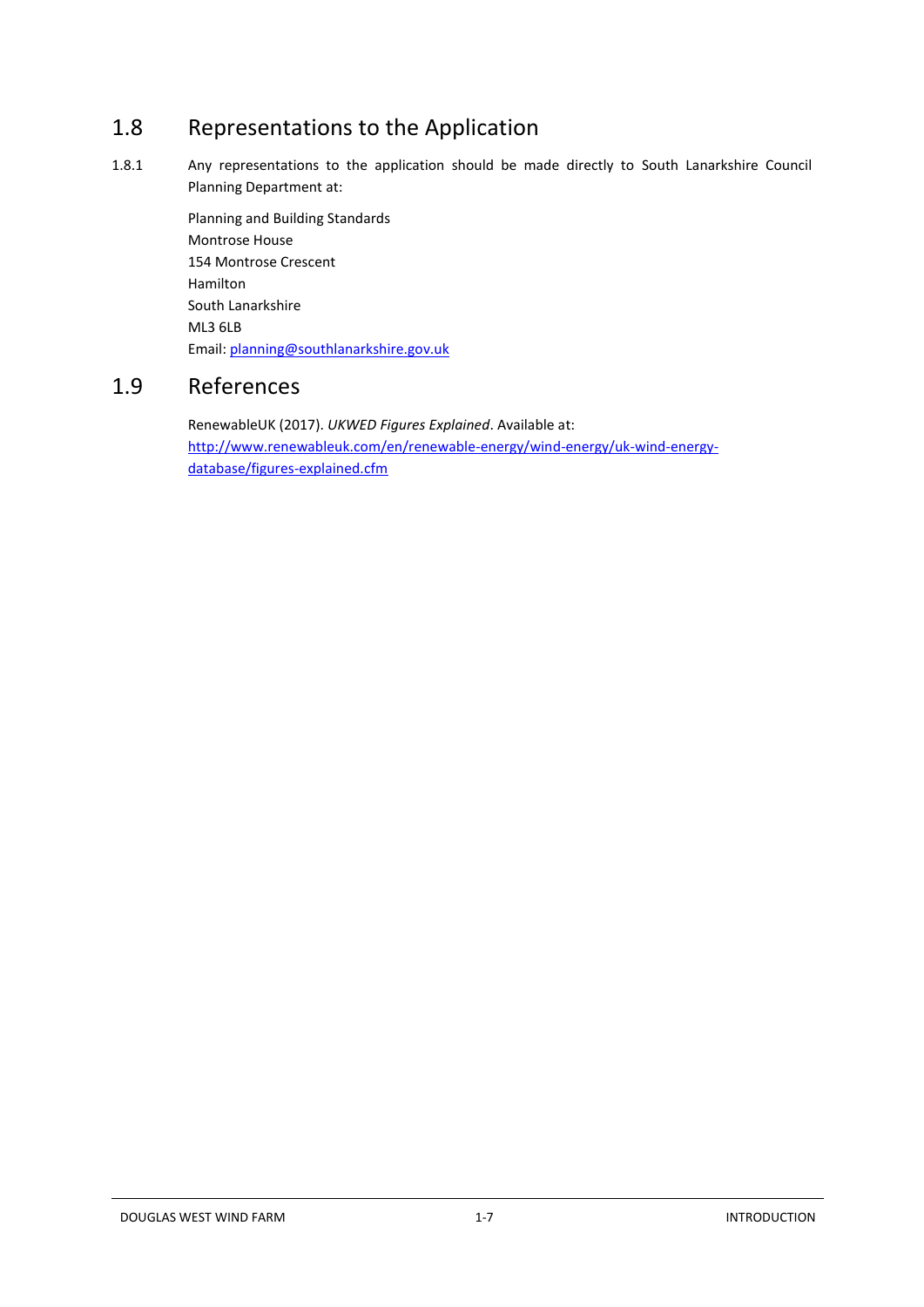### <span id="page-8-0"></span>1.8 Representations to the Application

1.8.1 Any representations to the application should be made directly to South Lanarkshire Council Planning Department at:

> Planning and Building Standards Montrose House 154 Montrose Crescent Hamilton South Lanarkshire ML3 6LB Email: [planning@southlanarkshire.gov.uk](mailto:planning@southlanarkshire.gov.uk)

### <span id="page-8-1"></span>1.9 References

RenewableUK (2017). *UKWED Figures Explained*. Available at: [http://www.renewableuk.com/en/renewable-energy/wind-energy/uk-wind-energy](http://www.renewableuk.com/en/renewable-energy/wind-energy/uk-wind-energy-database/figures-explained.cfm)[database/figures-explained.cfm](http://www.renewableuk.com/en/renewable-energy/wind-energy/uk-wind-energy-database/figures-explained.cfm)